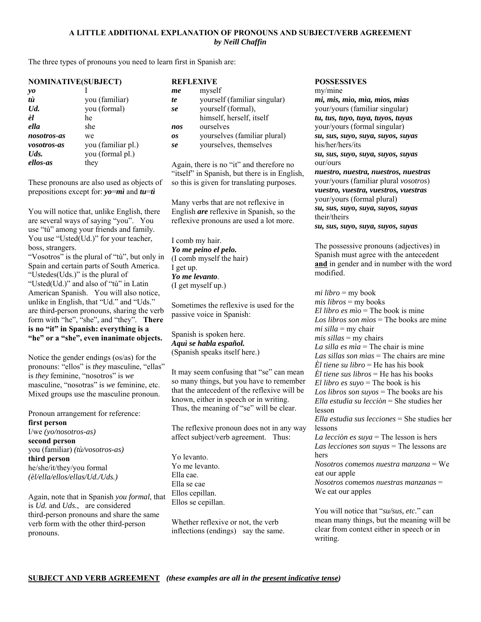### **A LITTLE ADDITIONAL EXPLANATION OF PRONOUNS AND SUBJECT/VERB AGREEMENT**  *by Neill Chaffin*

The three types of pronouns you need to learn first in Spanish are:

| <b>NOMINATIVE(SUBJECT)</b> |                    |
|----------------------------|--------------------|
| yo                         |                    |
| tù                         | you (familiar)     |
| $Ud$ .                     | you (formal)       |
| èl                         | he                 |
| ella                       | she                |
| nosotros-as                | we                 |
| vosotros-as                | you (familiar pl.) |
| $U$ ds.                    | you (formal pl.)   |
| ellos-as                   | they               |

These pronouns are also used as objects of prepositions except for: *yo*=*mì* and *tu*=*tì*

You will notice that, unlike English, there are several ways of saying "you". You use "tù" among your friends and family. You use "Usted(Ud.)" for your teacher, boss, strangers.

"Vosotros" is the plural of "tù", but only in Spain and certain parts of South America. "Ustedes(Uds.)" is the plural of "Usted(Ud.)" and also of "tù" in Latin American Spanish. You will also notice, unlike in English, that "Ud." and "Uds." are third-person pronouns, sharing the verb form with "he", "she", and "they". **There is no "it" in Spanish: everything is a "he" or a "she", even inanimate objects.**

Notice the gender endings (os/as) for the pronouns: "ellos" is *they* masculine, "ellas" is *they* feminine, "nosotros" is *we* masculine, "nosotras" is *we* feminine, etc. Mixed groups use the masculine pronoun.

Pronoun arrangement for reference: **first person** I/we *(yo/nosotros-as)* **second person** you (familiar) *(tù/vosotros-as)* **third person** he/she/it/they/you formal *(èl/ella/ellos/ellas/Ud./Uds.)*

Again, note that in Spanish *you formal*, that is *Ud.* and *Uds.*, are considered third-person pronouns and share the same verb form with the other third-person pronouns.

| <b>REFLEXIVE</b> |                              |
|------------------|------------------------------|
| me               | myself                       |
| te               | yourself (familiar singular) |
| se               | yourself (formal),           |
|                  | himself, herself, itself     |
| nos              | ourselves                    |
| OS.              | yourselves (familiar plural) |
| se               | yourselves, themselves       |

Again, there is no "it" and therefore no "itself" in Spanish, but there is in English, so this is given for translating purposes.

Many verbs that are not reflexive in English *are* reflexive in Spanish, so the reflexive pronouns are used a lot more.

I comb my hair. *Yo me peino el pelo.* (I comb myself the hair) I get up. *Yo me levanto*. (I get myself up.)

Sometimes the reflexive is used for the passive voice in Spanish:

Spanish is spoken here. *Aquì se habla español.* (Spanish speaks itself here.)

It may seem confusing that "se" can mean so many things, but you have to remember that the antecedent of the reflexive will be known, either in speech or in writing. Thus, the meaning of "se" will be clear.

The reflexive pronoun does not in any way affect subject/verb agreement. Thus:

Yo levanto. Yo me levanto. Ella cae. Ella se cae Ellos cepillan. Ellos se cepillan.

Whether reflexive or not, the verb inflections (endings) say the same. **POSSESSIVES**

my/mine *mi, mis, mìo, mìa, mìos, mìas* your/yours (familiar singular)

*tu, tus, tuyo, tuya, tuyos, tuyas* your/yours (formal singular) *su, sus, suyo, suya, suyos, suyas* his/her/hers/its

*su, sus, suyo, suya, suyos, suyas* our/ours

*nuestro, nuestra, nuestros, nuestras* your/yours (familiar plural *vosotros*) *vuestro, vuestra, vuestros, vuestras* your/yours (formal plural) *su, sus, suyo, suya, suyos, suyas* their/theirs *su, sus, suyo, suya, suyos, suyas*

The possessive pronouns (adjectives) in Spanish must agree with the antecedent **and** in gender and in number with the word modified.

*mi libro* = my book *mis libros* = my books *El libro es mìo* = The book is mine *Los libros son mìos* = The books are mine *mi silla* = my chair *mis sillas* = my chairs *La silla es mìa* = The chair is mine *Las sillas son mìas* = The chairs are mine *Èl tiene su libro* = He has his book *Èl tiene sus libros* = He has his books *El libro es suyo* = The book is his *Los libros son suyos* = The books are his *Ella estudia su lecciòn* = She studies her lesson *Ella estudia sus lecciones* = She studies her lessons *La lecciòn es suya* = The lesson is hers *Las lecciones son suyas* = The lessons are hers *Nosotros comemos nuestra manzana* = We eat our apple *Nosotros comemos nuestras manzanas* = We eat our apples

You will notice that "*su/sus, etc.*" can mean many things, but the meaning will be clear from context either in speech or in writing.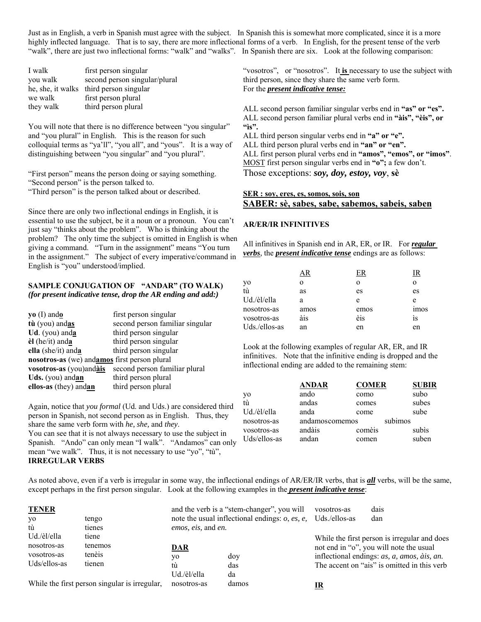Just as in English, a verb in Spanish must agree with the subject. In Spanish this is somewhat more complicated, since it is a more highly inflected language. That is to say, there are more inflectional forms of a verb. In English, for the present tense of the verb "walk", there are just two inflectional forms: "walk" and "walks". In Spanish there are six. Look at the following comparison:

| I walk    | first person singular                   |
|-----------|-----------------------------------------|
| you walk  | second person singular/plural           |
|           | he, she, it walks third person singular |
| we walk   | first person plural                     |
| they walk | third person plural                     |

You will note that there is no difference between "you singular" and "you plural" in English. This is the reason for such colloquial terms as "ya'll", "you all", and "yous". It is a way of distinguishing between "you singular" and "you plural".

"First person" means the person doing or saying something.

"Second person" is the person talked to.

"Third person" is the person talked about or described.

Since there are only two inflectional endings in English, it is essential to use the subject, be it a noun or a pronoun. You can't just say "thinks about the problem". Who is thinking about the problem? The only time the subject is omitted in English is when giving a command. "Turn in the assignment" means "You turn in the assignment." The subject of every imperative/command in English is "you" understood/implied.

### **SAMPLE CONJUGATION OF "ANDAR" (TO WALK)**  *(for present indicative tense, drop the AR ending and add:)*

| $yo$ (I) and $o$                             | first person singular           |
|----------------------------------------------|---------------------------------|
| tù (you) andas                               | second person familiar singular |
| Ud. (you) and $\underline{\mathbf{a}}$       | third person singular           |
| $\dot{e}$ l (he/it) anda                     | third person singular           |
| ella (she/it) and a                          | third person singular           |
| nosotros-as (we) andamos first person plural |                                 |
| vosotros-as (you)andàis                      | second person familiar plural   |
| Uds. (you) andan                             | third person plural             |
| ellos-as (they) andan                        | third person plural             |

Again, notice that *you formal* (Ud. and Uds.) are considered third person in Spanish, not second person as in English. Thus, they share the same verb form with *he, she,* and *they*.

You can see that it is not always necessary to use the subject in Spanish. "Ando" can only mean "I walk". "Andamos" can only mean "we walk". Thus, it is not necessary to use "yo", "tù", **IRREGULAR VERBS**

"vosotros", or "nosotros". It is necessary to use the subject with third person, since they share the same verb form. For the *present indicative tense:*

ALL second person familiar singular verbs end in **"as" or "es".** ALL second person familiar plural verbs end in **"àis", "èis", or "ìs".**

ALL third person singular verbs end in **"a" or "e".**

ALL third person plural verbs end in **"an" or "en".**

ALL first person plural verbs end in **"amos", "emos", or "imos"**. MOST first person singular verbs end in **"o";** a few don't.

Those exceptions: *soy, doy, estoy, voy*, **sè**

### **SER : soy, eres, es, somos, sois, son SABER: sè, sabes, sabe, sabemos, sabeis, saben**

### **AR/ER/IR INFINITIVES**

All infinitives in Spanish end in AR, ER, or IR. For *regular verbs*, the *present indicative tense* endings are as follows:

|               |          | FΚ   | LΚ          |
|---------------|----------|------|-------------|
| yo<br>tù      | $\Omega$ | O    | $\Omega$    |
|               | as       | es   | es          |
| Ud./èl/ella   | a        | e    | e           |
| nosotros-as   | amos     | emos | <i>imos</i> |
| vosotros-as   | àis      | èis  | 1S          |
| Uds./ellos-as | an       | en   | en          |

Look at the following examples of regular AR, ER, and IR infinitives. Note that the infinitive ending is dropped and the inflectional ending are added to the remaining stem:

|              | <b>ANDAR</b>   | <b>COMER</b> | <b>SUBIR</b> |
|--------------|----------------|--------------|--------------|
| yo           | ando           | como         | subo         |
| .<br>tù      | andas          | comes        | subes        |
| Ud./èl/ella  | anda           | come         | sube         |
| nosotros-as  | andamoscomemos | subimos      |              |
| vosotros-as  | andàis         | comèis       | subis        |
| Uds/ellos-as | andan          | comen        | suben        |
|              |                |              |              |

As noted above, even if a verb is irregular in some way, the inflectional endings of AR/ER/IR verbs, that is *all* verbs, will be the same, except perhaps in the first person singular. Look at the following examples in the *present indicative tense*:

| <b>TENER</b><br>yo<br>tù | tengo<br>tienes                               | <i>emos, eis, and en.</i> | and the verb is a "stem-changer", you will<br>note the usual inflectional endings: $o$ , $es$ , $e$ , | vosotros-as<br>Uds./ellos-as | dais<br>dan                                  |
|--------------------------|-----------------------------------------------|---------------------------|-------------------------------------------------------------------------------------------------------|------------------------------|----------------------------------------------|
| Ud./èl/ella              | tiene                                         |                           |                                                                                                       |                              | While the first person is irregular and does |
| nosotros-as              | tenemos                                       | <u>DAR</u>                |                                                                                                       |                              | not end in "o", you will note the usual      |
| vosotros-as              | tenèis                                        | y0                        | doy                                                                                                   |                              | inflectional endings: as, a, amos, àis, an.  |
| Uds/ellos-as             | tienen                                        | tù                        | das                                                                                                   |                              | The accent on "ais" is omitted in this verb  |
|                          |                                               | Ud./èl/ella               | da                                                                                                    |                              |                                              |
|                          | While the first person singular is irregular, | nosotros-as               | damos                                                                                                 |                              |                                              |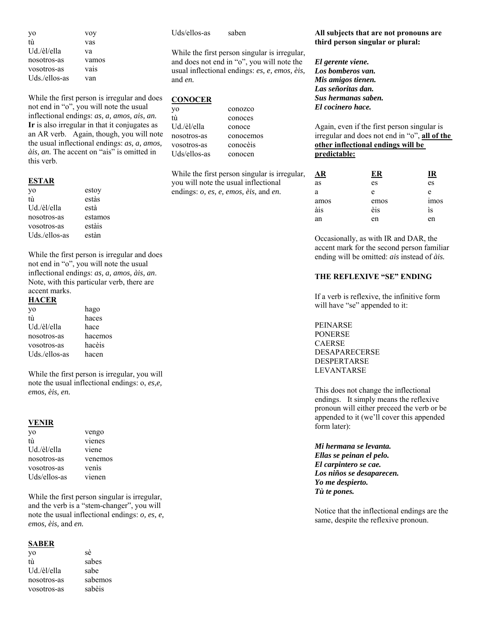| yo            | voy   |
|---------------|-------|
| fù            | vas   |
| Ud./èl/ella   | va    |
| nosotros-as   | vamos |
| vosotros-as   | vais  |
| Uds./ellos-as | van   |

While the first person is irregular and does not end in "o", you will note the usual inflectional endings: *as, a, amos, ais, an.* **Ir** is also irregular in that it conjugates as an AR verb. Again, though, you will note the usual inflectional endings: *as, a, amos, àis, an.* The accent on "ais" is omitted in this verb.

#### **ESTAR**

| yo            | estoy   |
|---------------|---------|
| tù            | estàs   |
| Ud./èl/ella   | està    |
| nosotros-as   | estamos |
| vosotros-as   | estàis  |
| Uds./ellos-as | estàn   |

While the first person is irregular and does not end in "o", you will note the usual inflectional endings: *as, a, amos, àis, an*. Note, with this particular verb, there are accent marks.

#### **HACER**

| yo            | hago    |
|---------------|---------|
| tù            | haces   |
| Ud./èl/ella   | hace    |
| nosotros-as   | hacemos |
| vosotros-as   | hacèis  |
| Uds./ellos-as | hacen   |

While the first person is irregular, you will note the usual inflectional endings: o, *es,e, emos, èis, en.*

#### **VENIR**

| yo           | vengo   |
|--------------|---------|
| tù           | vienes  |
| Ud./èl/ella  | viene   |
| nosotros-as  | venemos |
| vosotros-as  | venis   |
| Uds/ellos-as | vienen  |

While the first person singular is irregular, and the verb is a "stem-changer", you will note the usual inflectional endings: *o, es, e, emos, èis,* and *en.*

#### **SABER**

| yo          | sè      |
|-------------|---------|
| tù          | sabes   |
| Ud./èl/ella | sabe    |
| nosotros-as | sabemos |
| vosotros-as | sabèis  |

Uds/ellos-as saben

While the first person singular is irregular, and does not end in "o", you will note the usual inflectional endings: *es, e, emos, èis,*  and *en.*

## **CONOCER**

tù conoces Ud./èl/ella conoce nosotros-as conocemos vosotros-as conocèis Uds/ellos-as conocen

yo conozco

While the first person singular is irregular, you will note the usual inflectional endings: *o, es, e, emos, èis,* and *en.*

#### **All subjects that are not pronouns are third person singular or plural:**

*El gerente viene. Los bomberos van. Mis amigos tienen. Las señoritas dan. Sus hermanas saben. El cocinero hace.*

Again, even if the first person singular is irregular and does not end in "o", **all of the other inflectional endings will be predictable:**

| ١R   | ER   | ıκ               |
|------|------|------------------|
| as   | es   | es               |
| a    | e    | e                |
| amos | emos | 1 <sub>mos</sub> |
| àis  | èis  | ìs               |
| an   | en   | en               |

Occasionally, as with IR and DAR, the accent mark for the second person familiar ending will be omitted: *ais* instead of *àis.*

## **THE REFLEXIVE "SE" ENDING**

If a verb is reflexive, the infinitive form will have "se" appended to it:

PEINARSE PONERSE CAERSE DESAPARECERSE **DESPERTARSE** LEVANTARSE

This does not change the inflectional endings. It simply means the reflexive pronoun will either preceed the verb or be appended to it (we'll cover this appended form later):

*Mi hermana se levanta. Ellas se peinan el pelo. El carpintero se cae. Los niños se desaparecen. Yo me despierto. Tù te pones.*

Notice that the inflectional endings are the same, despite the reflexive pronoun.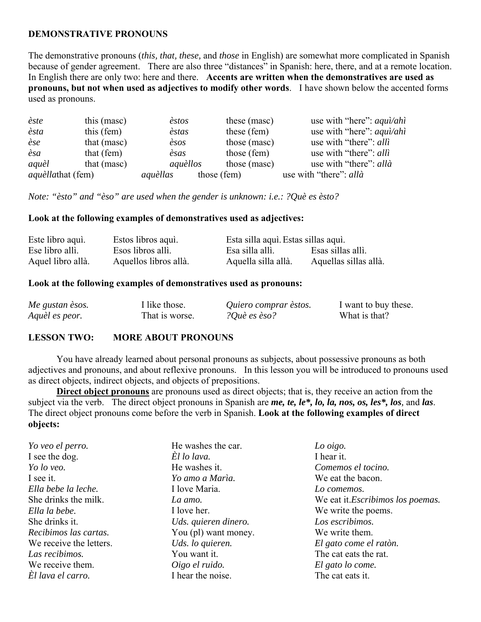# **DEMONSTRATIVE PRONOUNS**

The demonstrative pronouns (*this, that, these,* and *those* in English) are somewhat more complicated in Spanish because of gender agreement. There are also three "distances" in Spanish: here, there, and at a remote location. In English there are only two: here and there. **Accents are written when the demonstratives are used as pronouns, but not when used as adjectives to modify other words**. I have shown below the accented forms used as pronouns.

| èste                     | this (mase) | èstos                 |             | these (masc) | use with "here": $aqu\hat{i}/ah\hat{i}$ |
|--------------------------|-------------|-----------------------|-------------|--------------|-----------------------------------------|
| èsta                     | this (fem)  | èstas                 |             | these (fem)  | use with "here": $aqu\hat{i}/ah\hat{i}$ |
| èse                      | that (masc) | $\dot{\mathit{esos}}$ |             | those (masc) | use with "there": alli                  |
| èsa                      | that (fem)  | èsas                  |             | those (fem)  | use with "there": alli                  |
| aquèl                    | that (masc) | aquèllos              |             | those (masc) | use with "there": allà                  |
| <i>aquèllathat</i> (fem) |             | aquèllas              | those (fem) |              | use with "there": allà                  |

*Note: "èsto" and "èso" are used when the gender is unknown: i.e.: ?Què es èsto?*

## **Look at the following examples of demonstratives used as adjectives:**

| Este libro aqui.  | Estos libros aqui.    | Esta silla aquì. Estas sillas aquì. |                       |
|-------------------|-----------------------|-------------------------------------|-----------------------|
| Ese libro allì.   | Esos libros allì.     | Esa silla allì.                     | Esas sillas allì.     |
| Aquel libro allà. | Aquellos libros allà. | Aquella silla allà.                 | Aquellas sillas allà. |

## **Look at the following examples of demonstratives used as pronouns:**

| Me gustan èsos. | I like those.  | Quiero comprar èstos. | I want to buy these. |
|-----------------|----------------|-----------------------|----------------------|
| Aquèl es peor.  | That is worse. | ?Què es èso?          | What is that?        |

## **LESSON TWO: MORE ABOUT PRONOUNS**

 You have already learned about personal pronouns as subjects, about possessive pronouns as both adjectives and pronouns, and about reflexive pronouns. In this lesson you will be introduced to pronouns used as direct objects, indirect objects, and objects of prepositions.

**Direct object pronouns** are pronouns used as direct objects; that is, they receive an action from the subject via the verb. The direct object pronouns in Spanish are *me, te, le\*, lo, la, nos, os, les\*, los,* and *las*. The direct object pronouns come before the verb in Spanish. **Look at the following examples of direct objects:**

| Yo veo el perro.        | He washes the car.   | Lo oigo.                                  |
|-------------------------|----------------------|-------------------------------------------|
| I see the dog.          | El lo lava.          | I hear it.                                |
| Yo lo veo.              | He washes it.        | Comemos el tocino.                        |
| I see it.               | Yo amo a Marìa.      | We eat the bacon.                         |
| Ella bebe la leche.     | I love Maria.        | Lo comemos.                               |
| She drinks the milk.    | La amo.              | We eat it. <i>Escribimos los poemas</i> . |
| Ella la bebe.           | I love her.          | We write the poems.                       |
| She drinks it.          | Uds. quieren dinero. | Los escribimos.                           |
| Recibimos las cartas.   | You (pl) want money. | We write them.                            |
| We receive the letters. | Uds. lo quieren.     | El gato come el ratòn.                    |
| Las recibimos.          | You want it.         | The cat eats the rat.                     |
| We receive them.        | Oigo el ruido.       | El gato lo come.                          |
| El lava el carro.       | I hear the noise.    | The cat eats it.                          |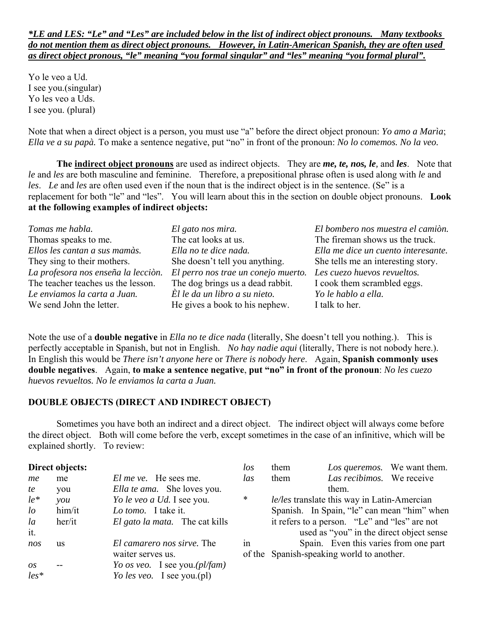# *\*LE and LES: "Le" and "Les" are included below in the list of indirect object pronouns. Many textbooks do not mention them as direct object pronouns. However, in Latin-American Spanish, they are often used as direct object pronous, "le" meaning "you formal singular" and "les" meaning "you formal plural".*

Yo le veo a Ud. I see you.(singular) Yo les veo a Uds. I see you. (plural)

Note that when a direct object is a person, you must use "a" before the direct object pronoun: *Yo amo a Marìa*; *Ella ve a su papà.* To make a sentence negative, put "no" in front of the pronoun: *No lo comemos. No la veo.*

**The indirect object pronouns** are used as indirect objects. They are *me, te, nos, le,* and *les*. Note that *le* and *les* are both masculine and feminine. Therefore, a prepositional phrase often is used along with *le* and *les*. *Le* and *les* are often used even if the noun that is the indirect object is in the sentence. (Se" is a replacement for both "le" and "les". You will learn about this in the section on double object pronouns. **Look at the following examples of indirect objects:**

| Tomas me habla.                     | El gato nos mira.                   | El bombero nos muestra el camiòn.   |
|-------------------------------------|-------------------------------------|-------------------------------------|
| Thomas speaks to me.                | The cat looks at us.                | The fireman shows us the truck.     |
| Ellos les cantan a sus mamàs.       | Ella no te dice nada.               | Ella me dice un cuento interesante. |
| They sing to their mothers.         | She doesn't tell you anything.      | She tells me an interesting story.  |
| La profesora nos enseña la lección. | El perro nos trae un conejo muerto. | Les cuezo huevos revueltos.         |
| The teacher teaches us the lesson.  | The dog brings us a dead rabbit.    | I cook them scrambled eggs.         |
| Le enviamos la carta a Juan.        | Èl le da un libro a su nieto.       | Yo le hablo a ella.                 |
| We send John the letter.            | He gives a book to his nephew.      | I talk to her.                      |

Note the use of a **double negative** in *Ella no te dice nada* (literally, She doesn't tell you nothing.). This is perfectly acceptable in Spanish, but not in English. *No hay nadie aqui* (literally, There is not nobody here.). In English this would be *There isn't anyone here* or *There is nobody here*. Again, **Spanish commonly uses double negatives**. Again, **to make a sentence negative**, **put "no" in front of the pronoun**: *No les cuezo huevos revueltos. No le enviamos la carta a Juan.*

# **DOUBLE OBJECTS (DIRECT AND INDIRECT OBJECT)**

 Sometimes you have both an indirect and a direct object. The indirect object will always come before the direct object. Both will come before the verb, except sometimes in the case of an infinitive, which will be explained shortly. To review:

|            | Direct objects:                  |                                    | los        | them |                                               | Los queremos. We want them. |
|------------|----------------------------------|------------------------------------|------------|------|-----------------------------------------------|-----------------------------|
| me         | me                               | <i>El me ve.</i> He sees me.       | <i>las</i> | them | Las recibimos. We receive                     |                             |
| te         | you                              | <i>Ella te ama.</i> She loves you. |            |      | them.                                         |                             |
| $le^*$     | $\mathcal V\mathcal Q\mathcal U$ | Yo le veo a Ud. I see you.         | $\ast$     |      | le/les translate this way in Latin-Amercian   |                             |
| $l\sigma$  | him/it                           | Lo tomo. I take it.                |            |      | Spanish. In Spain, "le" can mean "him" when   |                             |
| $l\bar{a}$ | her/it                           | El gato la mata. The cat kills     |            |      | it refers to a person. "Le" and "les" are not |                             |
| it.        |                                  |                                    |            |      | used as "you" in the direct object sense      |                             |
| nos        | <b>us</b>                        | El camarero nos sirve. The         | in         |      | Spain. Even this varies from one part         |                             |
|            |                                  | waiter serves us.                  |            |      | of the Spanish-speaking world to another.     |                             |
| OS         |                                  | Yo os veo. I see you. $(pl/fam)$   |            |      |                                               |                             |
| $les*$     |                                  | Yo les veo. I see you. $(pl)$      |            |      |                                               |                             |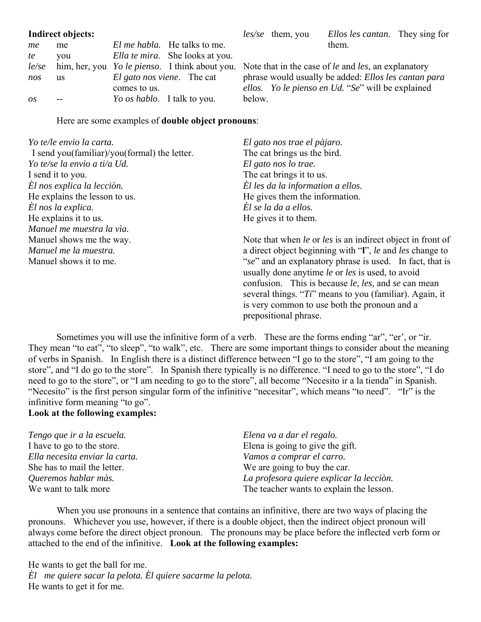|     | Indirect objects: |                                    |                                                                                                          |        | <i>les/se</i> them, you | <i>Ellos les cantan.</i> They sing for               |  |
|-----|-------------------|------------------------------------|----------------------------------------------------------------------------------------------------------|--------|-------------------------|------------------------------------------------------|--|
| me  | me                |                                    | <i>El me habla.</i> He talks to me.                                                                      |        |                         | them.                                                |  |
| te  | vou               |                                    | <i>Ella te mira.</i> She looks at you.                                                                   |        |                         |                                                      |  |
|     |                   |                                    | le/se him, her, you Yo le pienso. I think about you. Note that in the case of le and les, an explanatory |        |                         |                                                      |  |
| nos | <b>us</b>         |                                    | <i>El gato nos viene.</i> The cat                                                                        |        |                         | phrase would usually be added: Ellos les cantan para |  |
|     |                   | comes to us.                       |                                                                                                          |        |                         | ellos. Yo le pienso en Ud. "Se" will be explained    |  |
| OS  |                   | <i>Yo os hablo.</i> I talk to you. |                                                                                                          | below. |                         |                                                      |  |

Here are some examples of **double object pronouns**:

| Yo te/le envio la carta.                     | El gato nos trae el pàjaro.                                                |
|----------------------------------------------|----------------------------------------------------------------------------|
| I send you(familiar)/you(formal) the letter. | The cat brings us the bird.                                                |
| Yo te/se la envio a ti/a Ud.                 | El gato nos lo trae.                                                       |
| I send it to you.                            | The cat brings it to us.                                                   |
| El nos explica la lección.                   | El les da la information a ellos.                                          |
| He explains the lesson to us.                | He gives them the information.                                             |
| El nos la explica.                           | $\dot{E}$ l se la da a ellos.                                              |
| He explains it to us.                        | He gives it to them.                                                       |
| Manuel me muestra la via.                    |                                                                            |
| Manuel shows me the way.                     | Note that when le or les is an indirect object in front of                 |
| Manuel me la muestra.                        | a direct object beginning with "I", le and les change to                   |
| Manuel shows it to me.                       | "se" and an explanatory phrase is used. In fact, that is                   |
|                                              | usually done anytime le or les is used, to avoid                           |
|                                              | confusion. This is because <i>le</i> , <i>les</i> , and <i>se</i> can mean |
|                                              | several things. " $Ti$ " means to you (familiar). Again, it                |
|                                              | is very common to use both the pronoun and a                               |
|                                              | prepositional phrase.                                                      |

 Sometimes you will use the infinitive form of a verb. These are the forms ending "ar", "er', or "ir. They mean "to eat", "to sleep", "to walk", etc. There are some important things to consider about the meaning of verbs in Spanish. In English there is a distinct difference between "I go to the store", "I am going to the store", and "I do go to the store". In Spanish there typically is no difference. "I need to go to the store", "I do need to go to the store", or "I am needing to go to the store", all become "Necesito ir a la tienda" in Spanish. "Necesito" is the first person singular form of the infinitive "necesitar", which means "to need". "Ir" is the infinitive form meaning "to go".

# **Look at the following examples:**

| Tengo que ir a la escuela.     | Elena va a dar el regalo.                |
|--------------------------------|------------------------------------------|
| I have to go to the store.     | Elena is going to give the gift.         |
| Ella necesita enviar la carta. | Vamos a comprar el carro.                |
| She has to mail the letter.    | We are going to buy the car.             |
| Queremos hablar màs.           | La profesora quiere explicar la lección. |
| We want to talk more           | The teacher wants to explain the lesson. |

 When you use pronouns in a sentence that contains an infinitive, there are two ways of placing the pronouns. Whichever you use, however, if there is a double object, then the indirect object pronoun will always come before the direct object pronoun. The pronouns may be place before the inflected verb form or attached to the end of the infinitive. **Look at the following examples:**

He wants to get the ball for me. *Èl me quiere sacar la pelota. Èl quiere sacarme la pelota.* He wants to get it for me.